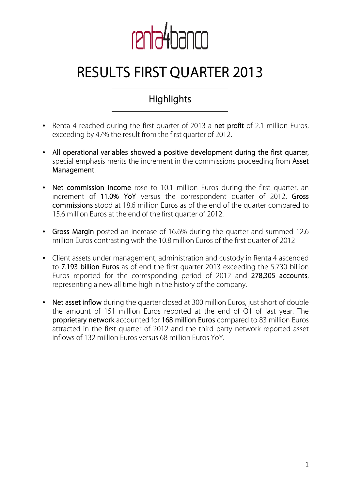

# **RESULTS FIRST QUARTER 2013**

## **Highlights**

- Renta 4 reached during the first quarter of 2013 a **net profit** of 2.1 million Euros, exceeding by 47% the result from the first quarter of 2012.
- **All operational variables showed a positive development during the first quarter,**  special emphasis merits the increment in the commissions proceeding from **Asset Management**.
- **Net commission income** rose to 10.1 million Euros during the first quarter, an increment of **11.0% YoY** versus the correspondent quarter of 2012**. Gross commissions** stood at 18.6 million Euros as of the end of the quarter compared to 15.6 million Euros at the end of the first quarter of 2012.
- **Gross Margin** posted an increase of 16.6% during the quarter and summed 12.6 million Euros contrasting with the 10.8 million Euros of the first quarter of 2012
- Client assets under management, administration and custody in Renta 4 ascended to **7.193 billion Euros** as of end the first quarter 2013 exceeding the 5.730 billion Euros reported for the corresponding period of 2012 and **278,305 accounts**, representing a new all time high in the history of the company.
- **Net asset inflow** during the quarter closed at 300 million Euros, just short of double the amount of 151 million Euros reported at the end of Q1 of last year. The **proprietary network** accounted for **168 million Euros** compared to 83 million Euros attracted in the first quarter of 2012 and the third party network reported asset inflows of 132 million Euros versus 68 million Euros YoY.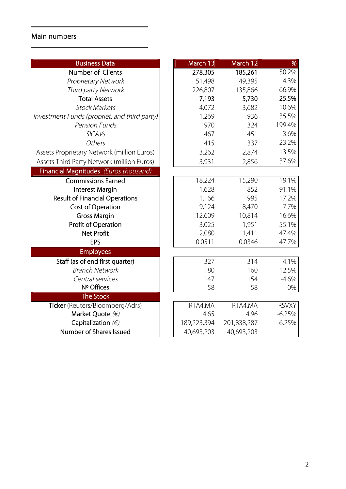## **Main numbers**

| <b>Business Data</b>                         | March 13    | March 12    | %            |
|----------------------------------------------|-------------|-------------|--------------|
| Number of Clients                            | 278,305     | 185,261     | 50.2%        |
| <b>Proprietary Network</b>                   | 51,498      | 49,395      | 4.3%         |
| Third party Network                          | 226,807     | 135,866     | 66.9%        |
| <b>Total Assets</b>                          | 7,193       | 5,730       | 25.5%        |
| <b>Stock Markets</b>                         | 4,072       | 3,682       | 10.6%        |
| Investment Funds (propriet. and third party) | 1,269       | 936         | 35.5%        |
| <b>Pension Funds</b>                         | 970         | 324         | 199.4%       |
| <b>SICAVs</b>                                | 467         | 451         | 3.6%         |
| Others                                       | 415         | 337         | 23.2%        |
| Assets Proprietary Network (million Euros)   | 3,262       | 2,874       | 13.5%        |
| Assets Third Party Network (million Euros)   | 3,931       | 2,856       | 37.6%        |
| Financial Magnitudes (Euros thousand)        |             |             |              |
| <b>Commissions Earned</b>                    | 18,224      | 15,290      | 19.1%        |
| <b>Interest Margin</b>                       | 1,628       | 852         | 91.1%        |
| <b>Result of Financial Operations</b>        | 1,166       | 995         | 17.2%        |
| <b>Cost of Operation</b>                     | 9,124       | 8,470       | 7.7%         |
| <b>Gross Margin</b>                          | 12,609      | 10,814      | 16.6%        |
| Profit of Operation                          | 3,025       | 1,951       | 55.1%        |
| <b>Net Profit</b>                            | 2,080       | 1,411       | 47.4%        |
| <b>EPS</b>                                   | 0.0511      | 0.0346      | 47.7%        |
| <b>Employees</b>                             |             |             |              |
| Staff (as of end first quarter)              | 327         | 314         | 4.1%         |
| <b>Branch Network</b>                        | 180         | 160         | 12.5%        |
| Central services                             | 147         | 154         | $-4.6%$      |
| Nº Offices                                   | 58          | 58          | 0%           |
| <b>The Stock</b>                             |             |             |              |
| Ticker (Reuters/Bloomberg/Adrs)              | RTA4.MA     | RTA4.MA     | <b>RSVXY</b> |
| Market Quote $(\epsilon)$                    | 4.65        | 4.96        | $-6.25%$     |
| Capitalization $(\epsilon)$                  | 189,223,394 | 201,838,287 | $-6.25%$     |
| Number of Shares Issued                      | 40,693,203  | 40,693,203  |              |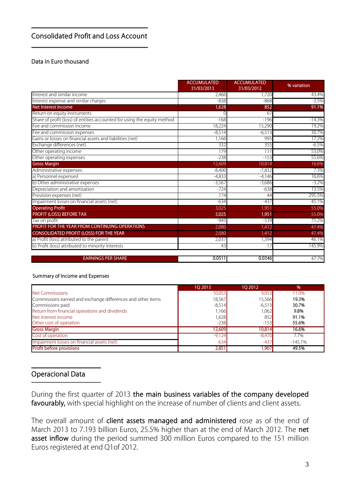#### **Consolidated Profit and Loss Account**

#### **Data in Euro thousand**

|                                                                          | <b>ACCUMULATED</b><br>31/03/2013 | <b>ACCUMULATED</b><br>31/03/2012 | % variation |
|--------------------------------------------------------------------------|----------------------------------|----------------------------------|-------------|
| Interest and similar income                                              | 2,466                            | 1.720                            | 43.4%       |
| Interest expense and similar charges                                     | $-838$                           | $-868$                           | $-3.5%$     |
| Net Interest Income                                                      | 1,628                            | 852                              | 91.1%       |
| Return on equity instruments                                             |                                  | 67                               |             |
| Share of profit (loss) of entities accounted for using the equity method | $-168$                           | $-196$                           | $-14.3%$    |
| Fee and commission income                                                | 18,224                           | 15,290                           | 19.2%       |
| Fee and commission expenses                                              | $-8,514$                         | $-6,513$                         | 30.7%       |
| Gains or losses on financial assets and liabilities (net)                | 1,166                            | 995                              | 17.2%       |
| Exchange differences (net)                                               | 332                              | 355                              | -6.5%       |
| Other operating income                                                   | 179                              | 117                              | 53.0%       |
| Other operating expenses                                                 | $-238$                           | $-153$                           | 55.6%       |
| <b>Gross Margin</b>                                                      | 12,609                           | 10,814                           | 16.6%       |
| Administrative expenses:                                                 | $-8,400$                         | $-7,832$                         | 7.3%        |
| a) Personnel expensesl                                                   | $-4.833$                         | $-4.146$                         | 16.6%       |
| b) Other administrative expenses                                         | $-3,567$                         | $-3,686$                         | $-3.2%$     |
| Depreciation and amortisation                                            | $-724$                           | $-638$                           | 13.5%       |
| Provision expenses (net)                                                 | 174                              | 44                               | 295.5%      |
| Impairment losses on financial assets (net)                              | $-634$                           | $-437$                           | 45.1%       |
| <b>Operating Profit</b>                                                  | 3,025                            | 1,951                            | 55.0%       |
| <b>PROFIT (LOSS) BEFORE TAX</b>                                          | 3,025                            | 1,951                            | 55.0%       |
| Tax on profit                                                            | $-945$                           | $-539$                           | 75.2%       |
| PROFIT FOR THE YEAR FROM CONTINUING OPERATIONS                           | 2,080                            | 1,412                            | 47.4%       |
| CONSOLIDATED PROFIT (LOSS) FOR THE YEAR                                  | 2,080                            | 1,412                            | 47.4%       |
| a) Profit (loss) attributed to the parent                                | 2,037                            | 1,394                            | 46.1%       |
| b) Profit (loss) attributed to minority interests                        | 43                               |                                  | 145.9%      |
| <b>EARNINGS PER SHARE</b>                                                | 0.0511                           | 0.0346                           | 47.7%       |

#### **Summary of Income and Expenses**

|                                                             | 10 2013  | 10 2012  | %         |
|-------------------------------------------------------------|----------|----------|-----------|
| Net Commissions                                             | 10,053   | 9,053    | 11.0%     |
| Commissions earned and exchange differences and other items | 18,567   | 15,566   | 19.3%     |
| Commissions paid                                            | $-8,514$ | $-6,513$ | 30.7%     |
| Return from financial operations and dividends              | 1,166    | 1,062    | 9.8%      |
| Net interest income                                         | 1,628    | 852      | 91.1%     |
| Other cost of operation                                     | $-238$   | $-153$   | 55.6%     |
| <b>Gross Margin</b>                                         | 12,609   | 10,814   | 16.6%     |
| Cost of operation                                           | $-9,124$ | $-8,470$ | 7.7%      |
| Impairment losses on financial assets (net)                 | $-634$   | $-437$   | $-145.1%$ |
| <b>Profit before provisions</b>                             | 2,851    | 1,907    | 49.5%     |

#### **Operacional Data**

During the first quarter of 2013 **the main business variables of the company developed**  favourably, with special highlight on the increase of number of clients and client assets.

The overall amount of **client assets managed and administered** rose as of the end of March 2013 to 7.193 billion Euros, 25.5% higher than at the end of March 2012. The **net**  asset inflow during the period summed 300 million Euros compared to the 151 million Euros registered at end Q1of 2012.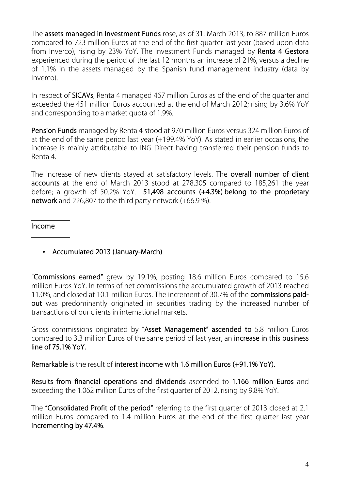The **assets managed in Investment Funds** rose, as of 31. March 2013, to 887 million Euros compared to 723 million Euros at the end of the first quarter last year (based upon data from Inverco), rising by 23% YoY. The Investment Funds managed by **Renta 4 Gestora** experienced during the period of the last 12 months an increase of 21%, versus a decline of 1.1% in the assets managed by the Spanish fund management industry (data by Inverco).

In respect of **SICAVs**, Renta 4 managed 467 million Euros as of the end of the quarter and exceeded the 451 million Euros accounted at the end of March 2012; rising by 3,6% YoY and corresponding to a market quota of 1.9%.

**Pension Funds** managed by Renta 4 stood at 970 million Euros versus 324 million Euros of at the end of the same period last year (+199.4% YoY). As stated in earlier occasions, the increase is mainly attributable to ING Direct having transferred their pension funds to Renta 4.

The increase of new clients stayed at satisfactory levels. The **overall number of client accounts** at the end of March 2013 stood at 278,305 compared to 185,261 the year before; a growth of 50.2% YoY. **51,498 accounts (+4.3%) belong to the proprietary network** and 226,807 to the third party network (+66.9 %).

**Income** 

• **Accumulated 2013 (January-March)**

"**Commissions earned"** grew by 19.1%, posting 18.6 million Euros compared to 15.6 million Euros YoY. In terms of net commissions the accumulated growth of 2013 reached 11.0%, and closed at 10.1 million Euros. The increment of 30.7% of the **commissions paidout** was predominantly originated in securities trading by the increased number of transactions of our clients in international markets.

Gross commissions originated by "**Asset Management" ascended to** 5.8 million Euros compared to 3.3 million Euros of the same period of last year, an **increase in this business line of 75.1% YoY.** 

**Remarkable** is the result of **interest income with 1.6 million Euros (+91.1% YoY)**.

**Results from financial operations and dividends** ascended to **1.166 million Euros** and exceeding the 1.062 million Euros of the first quarter of 2012, rising by 9.8% YoY.

The **"Consolidated Profit of the period"** referring to the first quarter of 2013 closed at 2.1 million Euros compared to 1.4 million Euros at the end of the first quarter last year **incrementing by 47.4%**.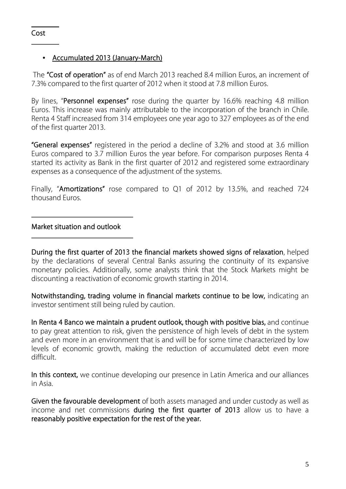#### • **Accumulated 2013 (January-March)**

 The **"Cost of operation"** as of end March 2013 reached 8.4 million Euros, an increment of 7.3% compared to the first quarter of 2012 when it stood at 7.8 million Euros.

By lines, "**Personnel expenses"** rose during the quarter by 16.6% reaching 4.8 million Euros. This increase was mainly attributable to the incorporation of the branch in Chile. Renta 4 Staff increased from 314 employees one year ago to 327 employees as of the end of the first quarter 2013.

**"General expenses"** registered in the period a decline of 3.2% and stood at 3.6 million Euros compared to 3.7 million Euros the year before. For comparison purposes Renta 4 started its activity as Bank in the first quarter of 2012 and registered some extraordinary expenses as a consequence of the adjustment of the systems.

Finally, "**Amortizations"** rose compared to Q1 of 2012 by 13.5%, and reached 724 thousand Euros.

**Market situation and outlook** 

**During the first quarter of 2013 the financial markets showed signs of relaxation**, helped by the declarations of several Central Banks assuring the continuity of its expansive monetary policies. Additionally, some analysts think that the Stock Markets might be discounting a reactivation of economic growth starting in 2014.

**Notwithstanding, trading volume in financial markets continue to be low,** indicating an investor sentiment still being ruled by caution.

**In Renta 4 Banco we maintain a prudent outlook, though with positive bias,** and continue to pay great attention to risk, given the persistence of high levels of debt in the system and even more in an environment that is and will be for some time characterized by low levels of economic growth, making the reduction of accumulated debt even more difficult.

**In this context,** we continue developing our presence in Latin America and our alliances in Asia.

**Given the favourable development** of both assets managed and under custody as well as income and net commissions **during the first quarter of 2013** allow us to have a **reasonably positive expectation for the rest of the year.**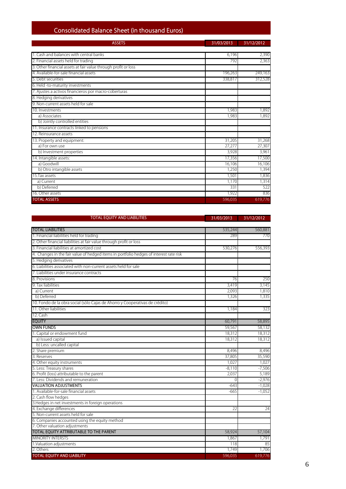### **Consolidated Balance Sheet (in thousand Euros)**

| <b>ASSETS</b>                                                  | 31/03/2013 | 31/12/2012 |  |
|----------------------------------------------------------------|------------|------------|--|
| 1. Cash and balances with central banks                        | 6.196      | 2,390      |  |
| 2. Financial assets held for trading                           | 792        | 2,363      |  |
| 3. Other financial assets at fair value through profit or loss |            |            |  |
| 4. Available-for-sale financial assets                         | 196,263    | 249,163    |  |
| 5. Debt securities                                             | 338,817    | 312,528    |  |
| 6. Held -to-maturity investments                               |            |            |  |
| 7. Ajustes a activos financieros por macro-coberturas          |            |            |  |
| 8. Hedging derivatives                                         |            |            |  |
| 9. Non-current assets held for sale                            |            |            |  |
| 10. Investments                                                | 1,983      | 1,892      |  |
| a) Associates                                                  | 1,983      | 1,892      |  |
| b) Jointly controlled entities                                 |            |            |  |
| 11. Insurance contracts linked to pensions                     |            |            |  |
| 12. Reinsurance assets                                         |            |            |  |
| 13. Property and equipment:                                    | 31,205     | 31,268     |  |
| a) For own use                                                 | 27,277     | 27,307     |  |
| b) Investment properties                                       | 3,928      | 3,961      |  |
| 14. Intangible assets:                                         | 17,356     | 17,500     |  |
| a) Goodwill                                                    | 16,106     | 16,106     |  |
| b) Otro intangible assets                                      | 1,250      | 1,394      |  |
| 15. Tax assets                                                 | 1,501      | 1,836      |  |
| a) Current                                                     | 1,170      | 1,314      |  |
| b) Deferred                                                    | 331        | 522        |  |
| 16. Other assets                                               | 1,922      | 836        |  |
| <b>TOTAL ASSETS</b>                                            | 596,035    | 619,776    |  |

| <b>TOTAL EQUITY AND LIABILITIES</b>                                                    | 31/03/2013 | 31/12/2012 |
|----------------------------------------------------------------------------------------|------------|------------|
|                                                                                        |            |            |
| <b>TOTAL LIABILITIES</b>                                                               | 535,244    | 560,881    |
| 1. Financial liabilities held for trading                                              | 289        | 770        |
| 2. Other financial liabilities at fair value through profit or loss                    |            |            |
| 3. Financial liabilities at amortized cost                                             | 530,276    | 556,393    |
| 4. Changes in the fair value of hedged items in portfolio hedges of interest rate risk |            |            |
| 5. Hedging derivatives                                                                 |            |            |
| 6. Liabilities associated with non-current assets held for sale                        |            |            |
| 7. Liabilities under insurance contracts                                               |            |            |
| 8. Provisions                                                                          | 76         | 250        |
| 9. Tax liabilities                                                                     | 3,419      | 3,145      |
| a) Current                                                                             | 2,093      | 1,810      |
| b) Deferred                                                                            | 1,326      | 1,335      |
| 10. Fondo de la obra social (sólo Cajas de Ahorro y Cooperativas de crédito)           |            |            |
| 11. Other liabilities                                                                  | 1,184      | 323        |
| 12. Cash                                                                               |            |            |
| <b>EQUITY</b>                                                                          | 60,791     | 58,895     |
| <b>OWN FUNDS</b>                                                                       | 59.567     | 58,132     |
| 1. Capital or endowment fund                                                           | 18,312     | 18,312     |
| a) Issued capital                                                                      | 18,312     | 18,312     |
| b) Less: uncalled capital                                                              |            |            |
| 2. Share premium                                                                       | 8,496      | 8,496      |
| 3. Reserves                                                                            | 37,805     | 35,590     |
| 4. Other equity instruments                                                            | 1,027      | 1,027      |
| 5. Less: Treasury shares                                                               | $-8,110$   | $-7,506$   |
| 6. Profit (loss) attributable to the parent                                            | 2,037      | 5,189      |
| 7. Less: Dividends and remuneration                                                    | $\Omega$   | $-2,976$   |
| <b>VALUATION ADJUSTMENTS</b>                                                           | $-643$     | $-1,028$   |
| 1. Available-for-sale financial assets                                                 | -665       | $-1,052$   |
| 2. Cash flow hedges                                                                    |            |            |
| 3. Hedges in net investments in foreign operations                                     |            |            |
| 4. Exchange differences                                                                | 22         | 24         |
| 5. Non-current assets held for sale                                                    |            |            |
| 6. Companies accounted using the equity method                                         |            |            |
| 7. Other valuation adjustments                                                         |            |            |
| TOTAL EQUITY ATTRIBUTABLE TO THE PARENT                                                | 58,924     | 57,104     |
| <b>MINORITY INTERSTS</b>                                                               | 1,867      | 1,791      |
| 1.Valuation adjustments                                                                | 118        | 85         |
| 2. Others                                                                              | 1,749      | 1,706      |
| <b>TOTAL EQUITY AND LIABILITY</b>                                                      | 596,035    | 619,776    |